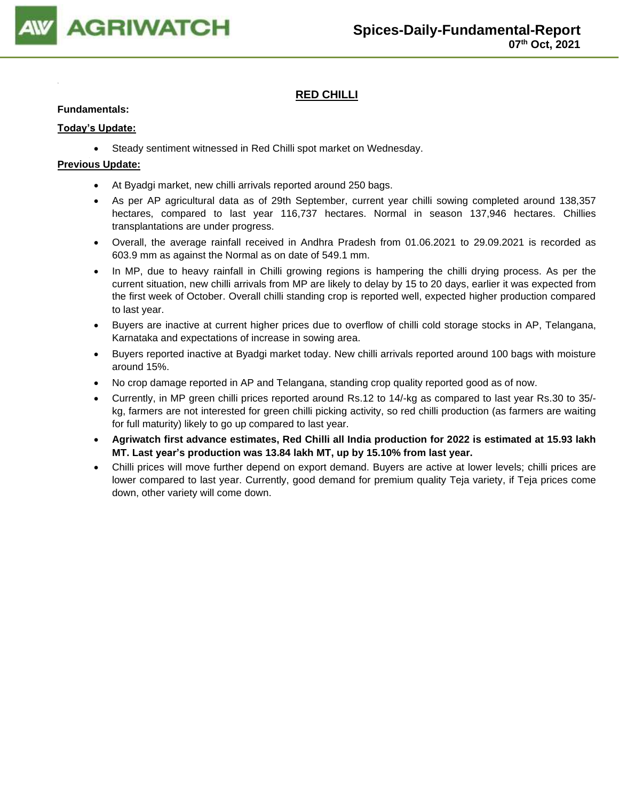

# **RED CHILLI**

### **Fundamentals:**

## **Today's Update:**

• Steady sentiment witnessed in Red Chilli spot market on Wednesday.

- At Byadgi market, new chilli arrivals reported around 250 bags.
- As per AP agricultural data as of 29th September, current year chilli sowing completed around 138,357 hectares, compared to last year 116,737 hectares. Normal in season 137,946 hectares. Chillies transplantations are under progress.
- Overall, the average rainfall received in Andhra Pradesh from 01.06.2021 to 29.09.2021 is recorded as 603.9 mm as against the Normal as on date of 549.1 mm.
- In MP, due to heavy rainfall in Chilli growing regions is hampering the chilli drying process. As per the current situation, new chilli arrivals from MP are likely to delay by 15 to 20 days, earlier it was expected from the first week of October. Overall chilli standing crop is reported well, expected higher production compared to last year.
- Buyers are inactive at current higher prices due to overflow of chilli cold storage stocks in AP, Telangana, Karnataka and expectations of increase in sowing area.
- Buyers reported inactive at Byadgi market today. New chilli arrivals reported around 100 bags with moisture around 15%.
- No crop damage reported in AP and Telangana, standing crop quality reported good as of now.
- Currently, in MP green chilli prices reported around Rs.12 to 14/-kg as compared to last year Rs.30 to 35/ kg, farmers are not interested for green chilli picking activity, so red chilli production (as farmers are waiting for full maturity) likely to go up compared to last year.
- **Agriwatch first advance estimates, Red Chilli all India production for 2022 is estimated at 15.93 lakh MT. Last year's production was 13.84 lakh MT, up by 15.10% from last year.**
- Chilli prices will move further depend on export demand. Buyers are active at lower levels; chilli prices are lower compared to last year. Currently, good demand for premium quality Teja variety, if Teja prices come down, other variety will come down.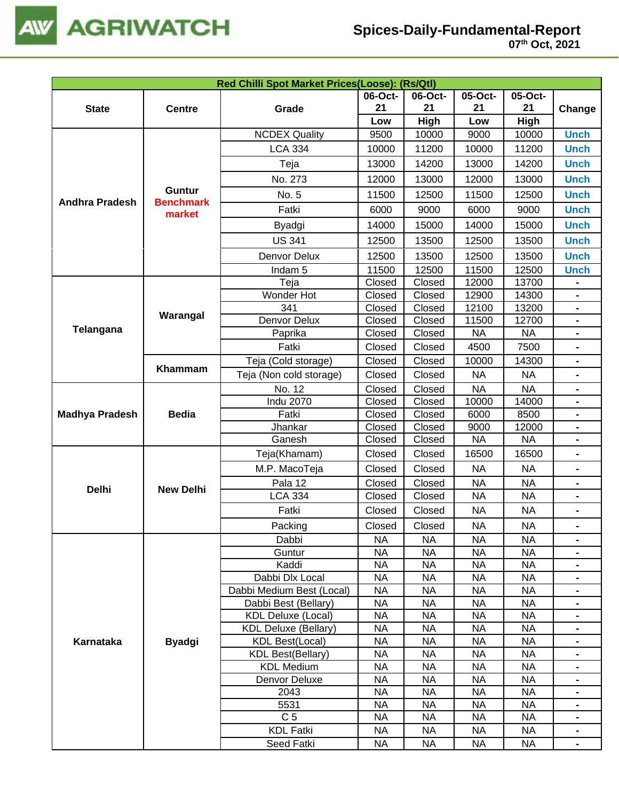

|                                                    |                            | Red Chilli Spot Market Prices(Loose): (Rs/Qtl) |                                                                                                                                                                                                                                                                                                                                                                                                                                                                                                                                                                                                                                                                                                                                                                                                                                                                                                                                                                                                                                                                                                                                                                                                                                                                                                                                                                                                                                                                                                                   |           |           |           |                |
|----------------------------------------------------|----------------------------|------------------------------------------------|-------------------------------------------------------------------------------------------------------------------------------------------------------------------------------------------------------------------------------------------------------------------------------------------------------------------------------------------------------------------------------------------------------------------------------------------------------------------------------------------------------------------------------------------------------------------------------------------------------------------------------------------------------------------------------------------------------------------------------------------------------------------------------------------------------------------------------------------------------------------------------------------------------------------------------------------------------------------------------------------------------------------------------------------------------------------------------------------------------------------------------------------------------------------------------------------------------------------------------------------------------------------------------------------------------------------------------------------------------------------------------------------------------------------------------------------------------------------------------------------------------------------|-----------|-----------|-----------|----------------|
|                                                    |                            |                                                | 06-Oct-                                                                                                                                                                                                                                                                                                                                                                                                                                                                                                                                                                                                                                                                                                                                                                                                                                                                                                                                                                                                                                                                                                                                                                                                                                                                                                                                                                                                                                                                                                           | 06-Oct-   | 05-Oct-   | 05-Oct-   |                |
| <b>State</b>                                       | <b>Centre</b>              | Grade                                          | 21                                                                                                                                                                                                                                                                                                                                                                                                                                                                                                                                                                                                                                                                                                                                                                                                                                                                                                                                                                                                                                                                                                                                                                                                                                                                                                                                                                                                                                                                                                                | 21        | 21        | 21        | Change         |
|                                                    |                            |                                                | Low<br>High<br>Low<br>High<br>9500<br><b>Unch</b><br>10000<br>9000<br>10000<br>10000<br>11200<br>10000<br>11200<br><b>Unch</b><br>14200<br>14200<br>13000<br>13000<br><b>Unch</b><br>12000<br>13000<br>12000<br>13000<br><b>Unch</b><br>11500<br>12500<br>11500<br>12500<br><b>Unch</b><br>6000<br><b>Unch</b><br>6000<br>9000<br>9000<br>14000<br>15000<br>14000<br><b>Unch</b><br>15000<br>12500<br>13500<br>12500<br>13500<br><b>Unch</b><br>12500<br>13500<br>12500<br>13500<br><b>Unch</b><br>11500<br>12500<br>11500<br>12500<br><b>Unch</b><br>Closed<br>Closed<br>12000<br>13700<br>Closed<br>Closed<br>12900<br>14300<br>Closed<br>Closed<br>12100<br>13200<br>Closed<br>Closed<br>11500<br>12700<br>Closed<br>Closed<br><b>NA</b><br><b>NA</b><br>Closed<br>4500<br>7500<br>Closed<br>-<br>Closed<br>10000<br>Closed<br>14300<br>-<br>Closed<br>Closed<br><b>NA</b><br><b>NA</b><br><b>NA</b><br>Closed<br>Closed<br><b>NA</b><br>-<br>Closed<br>Closed<br>10000<br>14000<br>-<br>Closed<br>Closed<br>6000<br>8500<br>$\blacksquare$<br>Closed<br>Closed<br>9000<br>12000<br>-<br>Closed<br><b>NA</b><br><b>NA</b><br>Closed<br>-<br>Closed<br>Closed<br>16500<br>16500<br>$\blacksquare$<br>Closed<br>Closed<br><b>NA</b><br><b>NA</b><br>-<br>Closed<br>Closed<br><b>NA</b><br><b>NA</b><br>Closed<br>Closed<br><b>NA</b><br><b>NA</b><br>-<br>Closed<br>Closed<br><b>NA</b><br><b>NA</b><br>-<br>Closed<br>Closed<br><b>NA</b><br><b>NA</b><br><b>NA</b><br><b>NA</b><br><b>NA</b><br><b>NA</b><br>- |           |           |           |                |
|                                                    |                            | <b>NCDEX Quality</b>                           |                                                                                                                                                                                                                                                                                                                                                                                                                                                                                                                                                                                                                                                                                                                                                                                                                                                                                                                                                                                                                                                                                                                                                                                                                                                                                                                                                                                                                                                                                                                   |           |           |           |                |
|                                                    |                            | <b>LCA 334</b>                                 |                                                                                                                                                                                                                                                                                                                                                                                                                                                                                                                                                                                                                                                                                                                                                                                                                                                                                                                                                                                                                                                                                                                                                                                                                                                                                                                                                                                                                                                                                                                   |           |           |           |                |
|                                                    |                            | Teja                                           |                                                                                                                                                                                                                                                                                                                                                                                                                                                                                                                                                                                                                                                                                                                                                                                                                                                                                                                                                                                                                                                                                                                                                                                                                                                                                                                                                                                                                                                                                                                   |           |           |           |                |
|                                                    |                            | No. 273                                        |                                                                                                                                                                                                                                                                                                                                                                                                                                                                                                                                                                                                                                                                                                                                                                                                                                                                                                                                                                                                                                                                                                                                                                                                                                                                                                                                                                                                                                                                                                                   |           |           |           |                |
|                                                    | <b>Guntur</b>              | No. 5                                          |                                                                                                                                                                                                                                                                                                                                                                                                                                                                                                                                                                                                                                                                                                                                                                                                                                                                                                                                                                                                                                                                                                                                                                                                                                                                                                                                                                                                                                                                                                                   |           |           |           |                |
|                                                    | <b>Benchmark</b><br>market | Fatki                                          |                                                                                                                                                                                                                                                                                                                                                                                                                                                                                                                                                                                                                                                                                                                                                                                                                                                                                                                                                                                                                                                                                                                                                                                                                                                                                                                                                                                                                                                                                                                   |           |           |           |                |
|                                                    |                            | Byadgi                                         |                                                                                                                                                                                                                                                                                                                                                                                                                                                                                                                                                                                                                                                                                                                                                                                                                                                                                                                                                                                                                                                                                                                                                                                                                                                                                                                                                                                                                                                                                                                   |           |           |           |                |
|                                                    |                            | <b>US 341</b>                                  |                                                                                                                                                                                                                                                                                                                                                                                                                                                                                                                                                                                                                                                                                                                                                                                                                                                                                                                                                                                                                                                                                                                                                                                                                                                                                                                                                                                                                                                                                                                   |           |           |           |                |
|                                                    |                            | Denvor Delux                                   |                                                                                                                                                                                                                                                                                                                                                                                                                                                                                                                                                                                                                                                                                                                                                                                                                                                                                                                                                                                                                                                                                                                                                                                                                                                                                                                                                                                                                                                                                                                   |           |           |           |                |
|                                                    |                            | Indam <sub>5</sub>                             |                                                                                                                                                                                                                                                                                                                                                                                                                                                                                                                                                                                                                                                                                                                                                                                                                                                                                                                                                                                                                                                                                                                                                                                                                                                                                                                                                                                                                                                                                                                   |           |           |           |                |
|                                                    |                            | Teja                                           |                                                                                                                                                                                                                                                                                                                                                                                                                                                                                                                                                                                                                                                                                                                                                                                                                                                                                                                                                                                                                                                                                                                                                                                                                                                                                                                                                                                                                                                                                                                   |           |           |           |                |
|                                                    |                            | Wonder Hot                                     |                                                                                                                                                                                                                                                                                                                                                                                                                                                                                                                                                                                                                                                                                                                                                                                                                                                                                                                                                                                                                                                                                                                                                                                                                                                                                                                                                                                                                                                                                                                   |           |           |           |                |
|                                                    |                            | 341                                            |                                                                                                                                                                                                                                                                                                                                                                                                                                                                                                                                                                                                                                                                                                                                                                                                                                                                                                                                                                                                                                                                                                                                                                                                                                                                                                                                                                                                                                                                                                                   |           |           |           |                |
| Telangana                                          | Warangal                   | Denvor Delux                                   |                                                                                                                                                                                                                                                                                                                                                                                                                                                                                                                                                                                                                                                                                                                                                                                                                                                                                                                                                                                                                                                                                                                                                                                                                                                                                                                                                                                                                                                                                                                   |           |           |           |                |
|                                                    |                            | Paprika                                        |                                                                                                                                                                                                                                                                                                                                                                                                                                                                                                                                                                                                                                                                                                                                                                                                                                                                                                                                                                                                                                                                                                                                                                                                                                                                                                                                                                                                                                                                                                                   |           |           |           |                |
|                                                    |                            | Fatki                                          |                                                                                                                                                                                                                                                                                                                                                                                                                                                                                                                                                                                                                                                                                                                                                                                                                                                                                                                                                                                                                                                                                                                                                                                                                                                                                                                                                                                                                                                                                                                   |           |           |           |                |
|                                                    |                            | Teja (Cold storage)                            |                                                                                                                                                                                                                                                                                                                                                                                                                                                                                                                                                                                                                                                                                                                                                                                                                                                                                                                                                                                                                                                                                                                                                                                                                                                                                                                                                                                                                                                                                                                   |           |           |           |                |
|                                                    | Khammam                    | Teja (Non cold storage)                        |                                                                                                                                                                                                                                                                                                                                                                                                                                                                                                                                                                                                                                                                                                                                                                                                                                                                                                                                                                                                                                                                                                                                                                                                                                                                                                                                                                                                                                                                                                                   |           |           |           |                |
|                                                    |                            | No. 12                                         |                                                                                                                                                                                                                                                                                                                                                                                                                                                                                                                                                                                                                                                                                                                                                                                                                                                                                                                                                                                                                                                                                                                                                                                                                                                                                                                                                                                                                                                                                                                   |           |           |           |                |
|                                                    |                            | <b>Indu 2070</b>                               |                                                                                                                                                                                                                                                                                                                                                                                                                                                                                                                                                                                                                                                                                                                                                                                                                                                                                                                                                                                                                                                                                                                                                                                                                                                                                                                                                                                                                                                                                                                   |           |           |           |                |
| <b>Madhya Pradesh</b>                              | <b>Bedia</b>               | Fatki                                          |                                                                                                                                                                                                                                                                                                                                                                                                                                                                                                                                                                                                                                                                                                                                                                                                                                                                                                                                                                                                                                                                                                                                                                                                                                                                                                                                                                                                                                                                                                                   |           |           |           |                |
|                                                    |                            | Jhankar                                        |                                                                                                                                                                                                                                                                                                                                                                                                                                                                                                                                                                                                                                                                                                                                                                                                                                                                                                                                                                                                                                                                                                                                                                                                                                                                                                                                                                                                                                                                                                                   |           |           |           |                |
|                                                    |                            | Ganesh                                         |                                                                                                                                                                                                                                                                                                                                                                                                                                                                                                                                                                                                                                                                                                                                                                                                                                                                                                                                                                                                                                                                                                                                                                                                                                                                                                                                                                                                                                                                                                                   |           |           |           |                |
|                                                    |                            | Teja(Khamam)                                   |                                                                                                                                                                                                                                                                                                                                                                                                                                                                                                                                                                                                                                                                                                                                                                                                                                                                                                                                                                                                                                                                                                                                                                                                                                                                                                                                                                                                                                                                                                                   |           |           |           |                |
|                                                    |                            | M.P. MacoTeja                                  |                                                                                                                                                                                                                                                                                                                                                                                                                                                                                                                                                                                                                                                                                                                                                                                                                                                                                                                                                                                                                                                                                                                                                                                                                                                                                                                                                                                                                                                                                                                   |           |           |           |                |
|                                                    | <b>New Delhi</b>           | Pala 12                                        |                                                                                                                                                                                                                                                                                                                                                                                                                                                                                                                                                                                                                                                                                                                                                                                                                                                                                                                                                                                                                                                                                                                                                                                                                                                                                                                                                                                                                                                                                                                   |           |           |           |                |
|                                                    |                            | <b>LCA 334</b>                                 |                                                                                                                                                                                                                                                                                                                                                                                                                                                                                                                                                                                                                                                                                                                                                                                                                                                                                                                                                                                                                                                                                                                                                                                                                                                                                                                                                                                                                                                                                                                   |           |           |           |                |
|                                                    |                            | Fatki                                          |                                                                                                                                                                                                                                                                                                                                                                                                                                                                                                                                                                                                                                                                                                                                                                                                                                                                                                                                                                                                                                                                                                                                                                                                                                                                                                                                                                                                                                                                                                                   |           |           |           |                |
| <b>Andhra Pradesh</b><br><b>Delhi</b><br>Karnataka |                            | Packing                                        |                                                                                                                                                                                                                                                                                                                                                                                                                                                                                                                                                                                                                                                                                                                                                                                                                                                                                                                                                                                                                                                                                                                                                                                                                                                                                                                                                                                                                                                                                                                   |           |           |           |                |
|                                                    |                            | Dabbi                                          |                                                                                                                                                                                                                                                                                                                                                                                                                                                                                                                                                                                                                                                                                                                                                                                                                                                                                                                                                                                                                                                                                                                                                                                                                                                                                                                                                                                                                                                                                                                   |           |           |           |                |
|                                                    |                            | Guntur                                         | <b>NA</b>                                                                                                                                                                                                                                                                                                                                                                                                                                                                                                                                                                                                                                                                                                                                                                                                                                                                                                                                                                                                                                                                                                                                                                                                                                                                                                                                                                                                                                                                                                         | <b>NA</b> | <b>NA</b> | <b>NA</b> |                |
|                                                    |                            | Kaddi                                          | <b>NA</b>                                                                                                                                                                                                                                                                                                                                                                                                                                                                                                                                                                                                                                                                                                                                                                                                                                                                                                                                                                                                                                                                                                                                                                                                                                                                                                                                                                                                                                                                                                         | <b>NA</b> | <b>NA</b> | <b>NA</b> | -              |
|                                                    |                            | Dabbi Dlx Local                                | <b>NA</b>                                                                                                                                                                                                                                                                                                                                                                                                                                                                                                                                                                                                                                                                                                                                                                                                                                                                                                                                                                                                                                                                                                                                                                                                                                                                                                                                                                                                                                                                                                         | <b>NA</b> | <b>NA</b> | <b>NA</b> | $\blacksquare$ |
|                                                    |                            | Dabbi Medium Best (Local)                      | <b>NA</b>                                                                                                                                                                                                                                                                                                                                                                                                                                                                                                                                                                                                                                                                                                                                                                                                                                                                                                                                                                                                                                                                                                                                                                                                                                                                                                                                                                                                                                                                                                         | <b>NA</b> | <b>NA</b> | <b>NA</b> | $\blacksquare$ |
|                                                    |                            | Dabbi Best (Bellary)                           | <b>NA</b>                                                                                                                                                                                                                                                                                                                                                                                                                                                                                                                                                                                                                                                                                                                                                                                                                                                                                                                                                                                                                                                                                                                                                                                                                                                                                                                                                                                                                                                                                                         | <b>NA</b> | <b>NA</b> | <b>NA</b> | -              |
|                                                    |                            | <b>KDL Deluxe (Local)</b>                      | <b>NA</b>                                                                                                                                                                                                                                                                                                                                                                                                                                                                                                                                                                                                                                                                                                                                                                                                                                                                                                                                                                                                                                                                                                                                                                                                                                                                                                                                                                                                                                                                                                         | <b>NA</b> | <b>NA</b> | <b>NA</b> | -              |
|                                                    |                            | <b>KDL Deluxe (Bellary)</b>                    | <b>NA</b>                                                                                                                                                                                                                                                                                                                                                                                                                                                                                                                                                                                                                                                                                                                                                                                                                                                                                                                                                                                                                                                                                                                                                                                                                                                                                                                                                                                                                                                                                                         | <b>NA</b> | <b>NA</b> | <b>NA</b> | -              |
|                                                    | <b>Byadgi</b>              | <b>KDL Best(Local)</b>                         | <b>NA</b>                                                                                                                                                                                                                                                                                                                                                                                                                                                                                                                                                                                                                                                                                                                                                                                                                                                                                                                                                                                                                                                                                                                                                                                                                                                                                                                                                                                                                                                                                                         | <b>NA</b> | <b>NA</b> | <b>NA</b> |                |
|                                                    |                            | <b>KDL Best(Bellary)</b>                       | <b>NA</b>                                                                                                                                                                                                                                                                                                                                                                                                                                                                                                                                                                                                                                                                                                                                                                                                                                                                                                                                                                                                                                                                                                                                                                                                                                                                                                                                                                                                                                                                                                         | <b>NA</b> | <b>NA</b> | <b>NA</b> |                |
|                                                    |                            | <b>KDL Medium</b>                              | <b>NA</b>                                                                                                                                                                                                                                                                                                                                                                                                                                                                                                                                                                                                                                                                                                                                                                                                                                                                                                                                                                                                                                                                                                                                                                                                                                                                                                                                                                                                                                                                                                         | <b>NA</b> | <b>NA</b> | <b>NA</b> |                |
|                                                    |                            | Denvor Deluxe                                  | <b>NA</b>                                                                                                                                                                                                                                                                                                                                                                                                                                                                                                                                                                                                                                                                                                                                                                                                                                                                                                                                                                                                                                                                                                                                                                                                                                                                                                                                                                                                                                                                                                         | <b>NA</b> | <b>NA</b> | <b>NA</b> |                |
|                                                    |                            | 2043                                           | <b>NA</b>                                                                                                                                                                                                                                                                                                                                                                                                                                                                                                                                                                                                                                                                                                                                                                                                                                                                                                                                                                                                                                                                                                                                                                                                                                                                                                                                                                                                                                                                                                         | <b>NA</b> | <b>NA</b> | <b>NA</b> |                |
|                                                    |                            | 5531                                           | <b>NA</b>                                                                                                                                                                                                                                                                                                                                                                                                                                                                                                                                                                                                                                                                                                                                                                                                                                                                                                                                                                                                                                                                                                                                                                                                                                                                                                                                                                                                                                                                                                         | <b>NA</b> | <b>NA</b> | <b>NA</b> |                |
|                                                    |                            | C <sub>5</sub>                                 | <b>NA</b>                                                                                                                                                                                                                                                                                                                                                                                                                                                                                                                                                                                                                                                                                                                                                                                                                                                                                                                                                                                                                                                                                                                                                                                                                                                                                                                                                                                                                                                                                                         | <b>NA</b> | <b>NA</b> | <b>NA</b> | ۰.             |
|                                                    |                            | <b>KDL Fatki</b>                               | <b>NA</b>                                                                                                                                                                                                                                                                                                                                                                                                                                                                                                                                                                                                                                                                                                                                                                                                                                                                                                                                                                                                                                                                                                                                                                                                                                                                                                                                                                                                                                                                                                         | <b>NA</b> | <b>NA</b> | <b>NA</b> | $\blacksquare$ |
|                                                    |                            | Seed Fatki                                     | <b>NA</b>                                                                                                                                                                                                                                                                                                                                                                                                                                                                                                                                                                                                                                                                                                                                                                                                                                                                                                                                                                                                                                                                                                                                                                                                                                                                                                                                                                                                                                                                                                         | <b>NA</b> | <b>NA</b> | <b>NA</b> | $\blacksquare$ |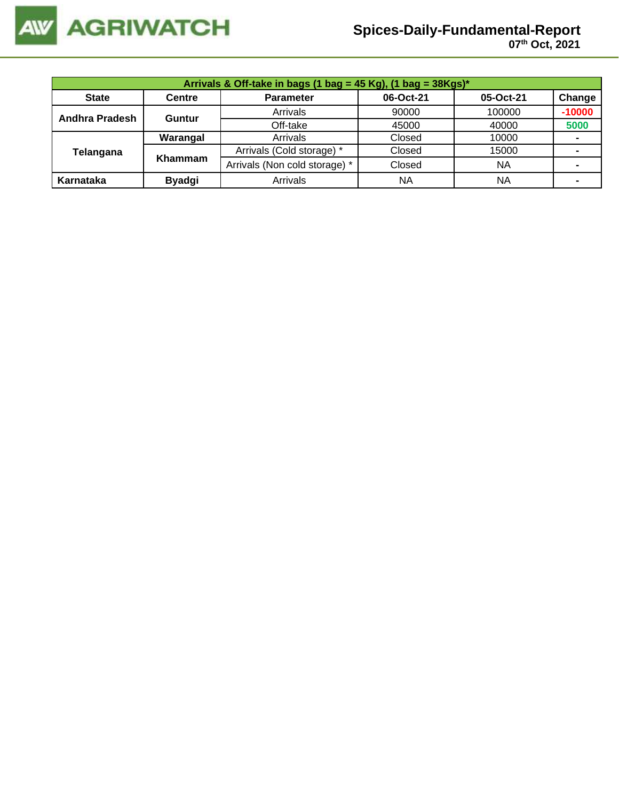

|                | Arrivals & Off-take in bags (1 bag = 45 Kg), (1 bag = $38Kgs$ )* |                               |           |           |                |  |  |  |  |
|----------------|------------------------------------------------------------------|-------------------------------|-----------|-----------|----------------|--|--|--|--|
| <b>State</b>   | <b>Centre</b>                                                    | <b>Parameter</b>              | 06-Oct-21 | 05-Oct-21 | Change         |  |  |  |  |
| Andhra Pradesh | Guntur                                                           | Arrivals                      | 90000     | 100000    | $-10000$       |  |  |  |  |
|                |                                                                  | Off-take                      | 45000     | 40000     | 5000           |  |  |  |  |
|                | Warangal                                                         | Arrivals                      | Closed    | 10000     | $\blacksquare$ |  |  |  |  |
| Telangana      | Khammam                                                          | Arrivals (Cold storage) *     | Closed    | 15000     |                |  |  |  |  |
|                |                                                                  | Arrivals (Non cold storage) * | Closed    | <b>NA</b> |                |  |  |  |  |
| Karnataka      | <b>Byadgi</b>                                                    | Arrivals                      | NA        | NA        | $\blacksquare$ |  |  |  |  |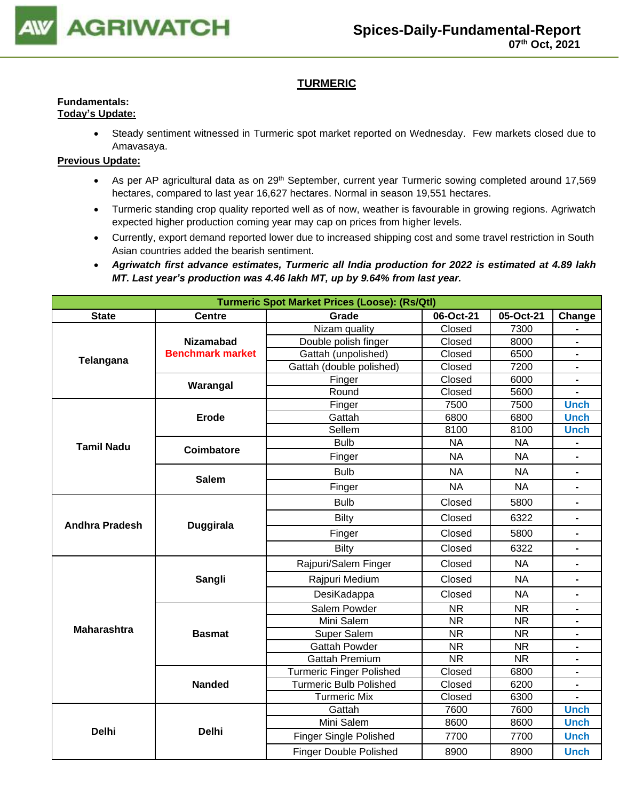

# **TURMERIC**

# **Fundamentals:**

- **Today's Update:**
	- Steady sentiment witnessed in Turmeric spot market reported on Wednesday. Few markets closed due to Amavasaya.

- As per AP agricultural data as on 29<sup>th</sup> September, current year Turmeric sowing completed around 17,569 hectares, compared to last year 16,627 hectares. Normal in season 19,551 hectares.
- Turmeric standing crop quality reported well as of now, weather is favourable in growing regions. Agriwatch expected higher production coming year may cap on prices from higher levels.
- Currently, export demand reported lower due to increased shipping cost and some travel restriction in South Asian countries added the bearish sentiment.
- *Agriwatch first advance estimates, Turmeric all India production for 2022 is estimated at 4.89 lakh MT. Last year's production was 4.46 lakh MT, up by 9.64% from last year.*

| <b>Turmeric Spot Market Prices (Loose): (Rs/Qtl)</b> |                         |                                 |           |           |                          |  |  |
|------------------------------------------------------|-------------------------|---------------------------------|-----------|-----------|--------------------------|--|--|
| <b>State</b>                                         | <b>Centre</b>           | Grade                           | 06-Oct-21 | 05-Oct-21 | Change                   |  |  |
|                                                      |                         | Nizam quality                   | Closed    | 7300      |                          |  |  |
| Telangana                                            | <b>Nizamabad</b>        | Double polish finger            | Closed    | 8000      | $\blacksquare$           |  |  |
|                                                      | <b>Benchmark market</b> | Gattah (unpolished)             | Closed    | 6500      | $\blacksquare$           |  |  |
|                                                      |                         | Gattah (double polished)        | Closed    | 7200      | $\blacksquare$           |  |  |
|                                                      | Warangal                | Finger                          | Closed    | 6000      | $\blacksquare$           |  |  |
|                                                      |                         | Round                           | Closed    | 5600      |                          |  |  |
|                                                      |                         | Finger                          | 7500      | 7500      | <b>Unch</b>              |  |  |
|                                                      | <b>Erode</b>            | Gattah                          | 6800      | 6800      | <b>Unch</b>              |  |  |
|                                                      |                         | Sellem                          | 8100      | 8100      | <b>Unch</b>              |  |  |
| <b>Tamil Nadu</b>                                    | Coimbatore              | <b>Bulb</b>                     | <b>NA</b> | <b>NA</b> | $\blacksquare$           |  |  |
|                                                      |                         | Finger                          | <b>NA</b> | <b>NA</b> | $\blacksquare$           |  |  |
|                                                      | <b>Salem</b>            | <b>Bulb</b>                     | <b>NA</b> | <b>NA</b> | $\blacksquare$           |  |  |
|                                                      |                         | Finger                          | <b>NA</b> | <b>NA</b> | $\blacksquare$           |  |  |
|                                                      |                         | <b>Bulb</b>                     | Closed    | 5800      |                          |  |  |
| <b>Andhra Pradesh</b>                                | <b>Duggirala</b>        | Closed<br>Bilty                 |           | 6322      | Ξ.                       |  |  |
|                                                      |                         | Finger                          | Closed    | 5800      | $\overline{\phantom{0}}$ |  |  |
|                                                      |                         | <b>Bilty</b>                    | Closed    | 6322      | $\blacksquare$           |  |  |
|                                                      |                         | Rajpuri/Salem Finger            | Closed    | <b>NA</b> |                          |  |  |
|                                                      | Sangli                  | Rajpuri Medium                  | Closed    | <b>NA</b> | $\blacksquare$           |  |  |
|                                                      |                         | DesiKadappa                     | Closed    | <b>NA</b> | $\blacksquare$           |  |  |
|                                                      |                         | Salem Powder                    | <b>NR</b> | <b>NR</b> |                          |  |  |
|                                                      |                         | Mini Salem                      | <b>NR</b> | <b>NR</b> |                          |  |  |
| <b>Maharashtra</b>                                   | <b>Basmat</b>           | Super Salem                     | <b>NR</b> | <b>NR</b> |                          |  |  |
|                                                      |                         | <b>Gattah Powder</b>            | <b>NR</b> | <b>NR</b> |                          |  |  |
|                                                      |                         | <b>Gattah Premium</b>           | <b>NR</b> | <b>NR</b> |                          |  |  |
|                                                      |                         | <b>Turmeric Finger Polished</b> | Closed    | 6800      |                          |  |  |
|                                                      | <b>Nanded</b>           | <b>Turmeric Bulb Polished</b>   | Closed    | 6200      |                          |  |  |
|                                                      |                         | <b>Turmeric Mix</b>             | Closed    | 6300      |                          |  |  |
|                                                      |                         | Gattah                          | 7600      | 7600      | <b>Unch</b>              |  |  |
| <b>Delhi</b>                                         | <b>Delhi</b>            | Mini Salem                      | 8600      | 8600      | <b>Unch</b>              |  |  |
|                                                      |                         | <b>Finger Single Polished</b>   | 7700      | 7700      | <b>Unch</b>              |  |  |
|                                                      |                         | <b>Finger Double Polished</b>   | 8900      | 8900      | <b>Unch</b>              |  |  |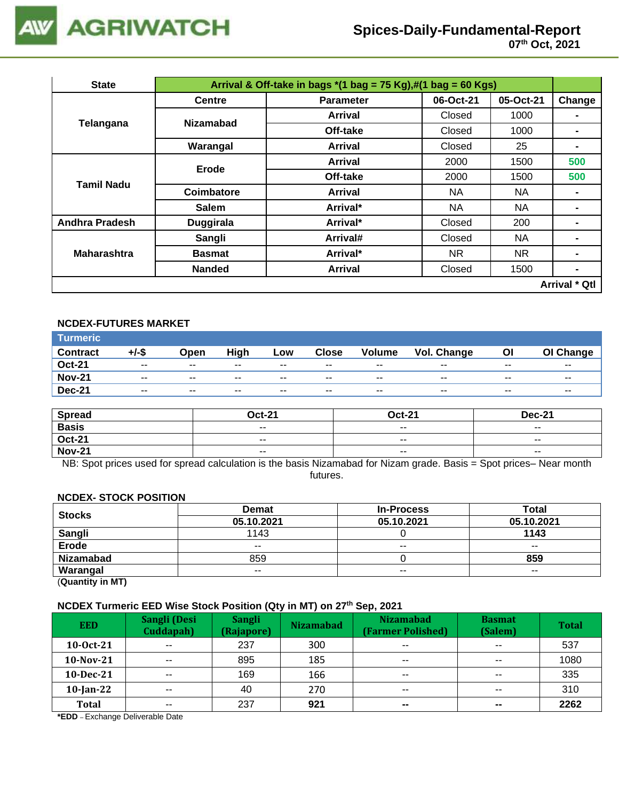

| <b>State</b>          |                  |                                                                                                                                                                                                                                                                                                                                                                                                                                                             |           |           |               |
|-----------------------|------------------|-------------------------------------------------------------------------------------------------------------------------------------------------------------------------------------------------------------------------------------------------------------------------------------------------------------------------------------------------------------------------------------------------------------------------------------------------------------|-----------|-----------|---------------|
|                       | <b>Centre</b>    | <b>Parameter</b>                                                                                                                                                                                                                                                                                                                                                                                                                                            | 06-Oct-21 | 05-Oct-21 | Change        |
|                       | <b>Nizamabad</b> | <b>Arrival</b>                                                                                                                                                                                                                                                                                                                                                                                                                                              | Closed    | 1000      |               |
| Telangana             |                  | Off-take                                                                                                                                                                                                                                                                                                                                                                                                                                                    | Closed    | 1000      |               |
|                       | Warangal         | Arrival & Off-take in bags $*(1 \text{ bag} = 75 \text{ Kg}),\#(1 \text{ bag} = 60 \text{ Kg})$<br>25<br><b>Arrival</b><br>Closed<br>$\blacksquare$<br>2000<br>1500<br><b>Arrival</b><br>Off-take<br>2000<br>1500<br><b>NA</b><br>NA<br><b>Arrival</b><br>NA<br>Arrival*<br>NA<br>$\blacksquare$<br>Arrival*<br>Closed<br>200<br>$\blacksquare$<br>NA<br>Closed<br>Arrival#<br>Arrival*<br>NR.<br>NR.<br>$\blacksquare$<br>1500<br>Closed<br><b>Arrival</b> |           |           |               |
|                       | Erode            |                                                                                                                                                                                                                                                                                                                                                                                                                                                             |           |           | 500           |
| Tamil Nadu            |                  |                                                                                                                                                                                                                                                                                                                                                                                                                                                             |           |           | 500           |
|                       | Coimbatore       |                                                                                                                                                                                                                                                                                                                                                                                                                                                             |           |           |               |
|                       | <b>Salem</b>     |                                                                                                                                                                                                                                                                                                                                                                                                                                                             |           |           |               |
| <b>Andhra Pradesh</b> | <b>Duggirala</b> |                                                                                                                                                                                                                                                                                                                                                                                                                                                             |           |           |               |
|                       | Sangli           |                                                                                                                                                                                                                                                                                                                                                                                                                                                             |           |           | ۰             |
| <b>Maharashtra</b>    | <b>Basmat</b>    |                                                                                                                                                                                                                                                                                                                                                                                                                                                             |           |           |               |
|                       | <b>Nanded</b>    |                                                                                                                                                                                                                                                                                                                                                                                                                                                             |           |           | ۰             |
|                       |                  |                                                                                                                                                                                                                                                                                                                                                                                                                                                             |           |           | Arrival * Qtl |

## **NCDEX-FUTURES MARKET**

| Turmeric <sup>1</sup> |                          |       |       |        |              |               |             |       |           |
|-----------------------|--------------------------|-------|-------|--------|--------------|---------------|-------------|-------|-----------|
| <b>Contract</b>       | +/-\$                    | Open  | High  | Low    | <b>Close</b> | <b>Volume</b> | Vol. Change | ΟI    | OI Change |
| <b>Oct-21</b>         | $\sim$ $\sim$            | $- -$ | $- -$ | $\sim$ | $- -$        | $\sim$ $\sim$ | $- -$       | $- -$ | $- -$     |
| <b>Nov-21</b>         | $- -$                    | $- -$ | $- -$ | $- -$  | $- -$        | $- -$         | $- -$       | $- -$ | $- -$     |
| <b>Dec-21</b>         | $\overline{\phantom{a}}$ | $- -$ | $- -$ | $- -$  | $- -$        | $- -$         | $- -$       | $- -$ | $- -$     |

| <b>Spread</b> | <b>Oct-21</b> | <b>Oct-21</b> | <b>Dec-21</b>            |
|---------------|---------------|---------------|--------------------------|
| <b>Basis</b>  | $- -$         | $- -$         | $- -$                    |
| <b>Oct-21</b> | $\sim$ $\sim$ | $- -$         | $\overline{\phantom{a}}$ |
| <b>Nov-21</b> | $\sim$ $\sim$ | $\sim$ $\sim$ | $\overline{\phantom{a}}$ |

NB: Spot prices used for spread calculation is the basis Nizamabad for Nizam grade. Basis = Spot prices– Near month futures.

#### **NCDEX- STOCK POSITION**

| <b>Stocks</b>    | <b>Demat</b> | <b>In-Process</b> | <b>Total</b>  |
|------------------|--------------|-------------------|---------------|
|                  | 05.10.2021   | 05.10.2021        | 05.10.2021    |
| Sangli           | 1143         |                   | 1143          |
| Erode            | $- -$        | $- -$             | $\sim$ $\sim$ |
| <b>Nizamabad</b> | 859          |                   | 859           |
| Warangal         | $- -$        | $- -$             | $- -$         |

(**Quantity in MT)**

## **NCDEX Turmeric EED Wise Stock Position (Qty in MT) on 27th Sep, 2021**

| <b>EED</b>   | Sangli (Desi<br>Cuddapah) | <b>Sangli</b><br>(Rajapore) | <b>Nizamabad</b> | <b>Nizamabad</b><br>(Farmer Polished) | <b>Basmat</b><br>(Salem) | <b>Total</b> |
|--------------|---------------------------|-----------------------------|------------------|---------------------------------------|--------------------------|--------------|
| 10-0ct-21    | $\sim$ $\sim$             | 237                         | 300              | $- -$                                 | $- -$                    | 537          |
| $10-Nov-21$  | $\sim$ $\sim$             | 895                         | 185              | $\overline{\phantom{a}}$              | $\sim$ $\sim$            | 1080         |
| $10$ -Dec-21 | $\sim$ $\sim$             | 169                         | 166              | $\overline{\phantom{a}}$              | $- -$                    | 335          |
| $10$ -Jan-22 | $\sim$ $\sim$             | 40                          | 270              | $\sim$ $\sim$                         | $\sim$ $\sim$            | 310          |
| <b>Total</b> | $- -$                     | 237                         | 921              | $\sim$                                | $\sim$                   | 2262         |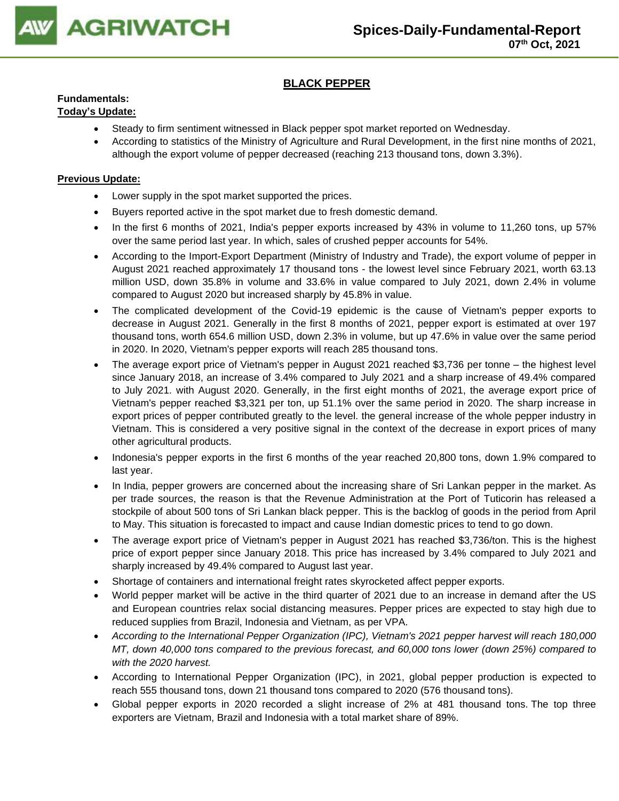

# **BLACK PEPPER**

# **Fundamentals:**

# **Today's Update:**

- Steady to firm sentiment witnessed in Black pepper spot market reported on Wednesday.
- According to statistics of the Ministry of Agriculture and Rural Development, in the first nine months of 2021, although the export volume of pepper decreased (reaching 213 thousand tons, down 3.3%).

- Lower supply in the spot market supported the prices.
- Buyers reported active in the spot market due to fresh domestic demand.
- In the first 6 months of 2021, India's pepper exports increased by 43% in volume to 11,260 tons, up 57% over the same period last year. In which, sales of crushed pepper accounts for 54%.
- According to the Import-Export Department (Ministry of Industry and Trade), the export volume of pepper in August 2021 reached approximately 17 thousand tons - the lowest level since February 2021, worth 63.13 million USD, down 35.8% in volume and 33.6% in value compared to July 2021, down 2.4% in volume compared to August 2020 but increased sharply by 45.8% in value.
- The complicated development of the Covid-19 epidemic is the cause of Vietnam's pepper exports to decrease in August 2021. Generally in the first 8 months of 2021, pepper export is estimated at over 197 thousand tons, worth 654.6 million USD, down 2.3% in volume, but up 47.6% in value over the same period in 2020. In 2020, Vietnam's pepper exports will reach 285 thousand tons.
- The average export price of Vietnam's pepper in August 2021 reached \$3,736 per tonne the highest level since January 2018, an increase of 3.4% compared to July 2021 and a sharp increase of 49.4% compared to July 2021. with August 2020. Generally, in the first eight months of 2021, the average export price of Vietnam's pepper reached \$3,321 per ton, up 51.1% over the same period in 2020. The sharp increase in export prices of pepper contributed greatly to the level. the general increase of the whole pepper industry in Vietnam. This is considered a very positive signal in the context of the decrease in export prices of many other agricultural products.
- Indonesia's pepper exports in the first 6 months of the year reached 20,800 tons, down 1.9% compared to last year.
- In India, pepper growers are concerned about the increasing share of Sri Lankan pepper in the market. As per trade sources, the reason is that the Revenue Administration at the Port of Tuticorin has released a stockpile of about 500 tons of Sri Lankan black pepper. This is the backlog of goods in the period from April to May. This situation is forecasted to impact and cause Indian domestic prices to tend to go down.
- The average export price of Vietnam's pepper in August 2021 has reached \$3,736/ton. This is the highest price of export pepper since January 2018. This price has increased by 3.4% compared to July 2021 and sharply increased by 49.4% compared to August last year.
- Shortage of containers and international freight rates skyrocketed affect pepper exports.
- World pepper market will be active in the third quarter of 2021 due to an increase in demand after the US and European countries relax social distancing measures. Pepper prices are expected to stay high due to reduced supplies from Brazil, Indonesia and Vietnam, as per VPA.
- *According to the International Pepper Organization (IPC), Vietnam's 2021 pepper harvest will reach 180,000 MT, down 40,000 tons compared to the previous forecast, and 60,000 tons lower (down 25%) compared to with the 2020 harvest.*
- According to International Pepper Organization (IPC), in 2021, global pepper production is expected to reach 555 thousand tons, down 21 thousand tons compared to 2020 (576 thousand tons).
- Global pepper exports in 2020 recorded a slight increase of 2% at 481 thousand tons. The top three exporters are Vietnam, Brazil and Indonesia with a total market share of 89%.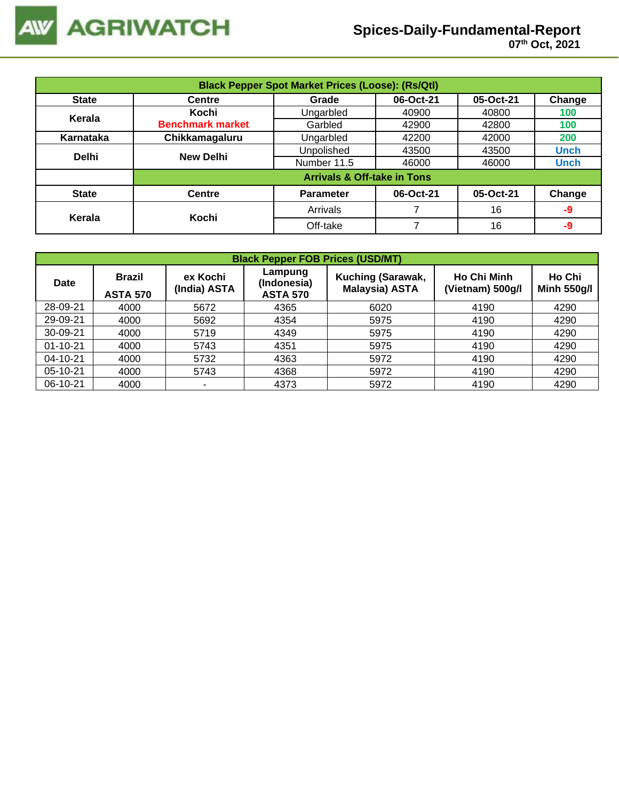

| <b>Black Pepper Spot Market Prices (Loose): (Rs/Qtl)</b> |                         |                                        |           |           |             |  |  |  |
|----------------------------------------------------------|-------------------------|----------------------------------------|-----------|-----------|-------------|--|--|--|
| <b>State</b>                                             | <b>Centre</b>           | Grade                                  | 06-Oct-21 | 05-Oct-21 | Change      |  |  |  |
| Kerala                                                   | Kochi                   | Ungarbled                              | 40900     | 40800     | 100         |  |  |  |
|                                                          | <b>Benchmark market</b> | Garbled                                | 42900     | 42800     | 100         |  |  |  |
| Karnataka                                                | Chikkamagaluru          | Ungarbled                              | 42200     | 42000     | 200         |  |  |  |
| <b>Delhi</b>                                             | New Delhi               | Unpolished                             | 43500     | 43500     | <b>Unch</b> |  |  |  |
|                                                          |                         | Number 11.5                            | 46000     | 46000     | <b>Unch</b> |  |  |  |
|                                                          |                         | <b>Arrivals &amp; Off-take in Tons</b> |           |           |             |  |  |  |
| <b>State</b>                                             | <b>Centre</b>           | <b>Parameter</b>                       | 06-Oct-21 | 05-Oct-21 | Change      |  |  |  |
| Kerala                                                   | Kochi                   | Arrivals                               |           | 16        | -9          |  |  |  |
|                                                          |                         | Off-take                               |           | 16        | -9          |  |  |  |

|                | <b>Black Pepper FOB Prices (USD/MT)</b> |                          |                                           |                                                   |                                        |                              |  |  |  |  |  |
|----------------|-----------------------------------------|--------------------------|-------------------------------------------|---------------------------------------------------|----------------------------------------|------------------------------|--|--|--|--|--|
| Date           | <b>Brazil</b><br><b>ASTA 570</b>        | ex Kochi<br>(India) ASTA | Lampung<br>(Indonesia)<br><b>ASTA 570</b> | <b>Kuching (Sarawak,</b><br><b>Malaysia) ASTA</b> | <b>Ho Chi Minh</b><br>(Vietnam) 500g/l | Ho Chi<br><b>Minh 550g/l</b> |  |  |  |  |  |
| 28-09-21       | 4000                                    | 5672                     | 4365                                      | 6020                                              | 4190                                   | 4290                         |  |  |  |  |  |
| 29-09-21       | 4000                                    | 5692                     | 4354                                      | 5975                                              | 4190                                   | 4290                         |  |  |  |  |  |
| $30 - 09 - 21$ | 4000                                    | 5719                     | 4349                                      | 5975                                              | 4190                                   | 4290                         |  |  |  |  |  |
| $01 - 10 - 21$ | 4000                                    | 5743                     | 4351                                      | 5975                                              | 4190                                   | 4290                         |  |  |  |  |  |
| $04 - 10 - 21$ | 4000                                    | 5732                     | 4363                                      | 5972                                              | 4190                                   | 4290                         |  |  |  |  |  |
| 05-10-21       | 4000                                    | 5743                     | 4368                                      | 5972                                              | 4190                                   | 4290                         |  |  |  |  |  |
| $06-10-21$     | 4000                                    | ٠                        | 4373                                      | 5972                                              | 4190                                   | 4290                         |  |  |  |  |  |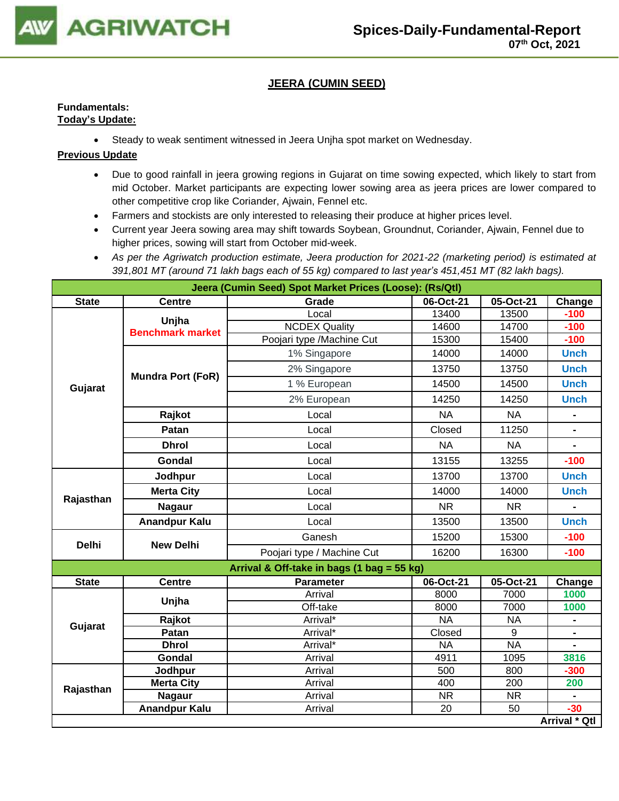

# **JEERA (CUMIN SEED)**

## **Fundamentals: Today's Update:**

• Steady to weak sentiment witnessed in Jeera Unjha spot market on Wednesday.

- Due to good rainfall in jeera growing regions in Gujarat on time sowing expected, which likely to start from mid October. Market participants are expecting lower sowing area as jeera prices are lower compared to other competitive crop like Coriander, Ajwain, Fennel etc.
- Farmers and stockists are only interested to releasing their produce at higher prices level.
- Current year Jeera sowing area may shift towards Soybean, Groundnut, Coriander, Ajwain, Fennel due to higher prices, sowing will start from October mid-week.
- *As per the Agriwatch production estimate, Jeera production for 2021-22 (marketing period) is estimated at 391,801 MT (around 71 lakh bags each of 55 kg) compared to last year's 451,451 MT (82 lakh bags).*

| Jeera (Cumin Seed) Spot Market Prices (Loose): (Rs/Qtl)                                                                                                                                                                                                                                                                                                                                                                                                                                                                                                                                                                                                                                                                                                                                                                                                                                           |                      |             |           |           |                |  |  |  |
|---------------------------------------------------------------------------------------------------------------------------------------------------------------------------------------------------------------------------------------------------------------------------------------------------------------------------------------------------------------------------------------------------------------------------------------------------------------------------------------------------------------------------------------------------------------------------------------------------------------------------------------------------------------------------------------------------------------------------------------------------------------------------------------------------------------------------------------------------------------------------------------------------|----------------------|-------------|-----------|-----------|----------------|--|--|--|
| <b>State</b>                                                                                                                                                                                                                                                                                                                                                                                                                                                                                                                                                                                                                                                                                                                                                                                                                                                                                      | <b>Centre</b>        | Grade       | 06-Oct-21 | 05-Oct-21 | Change         |  |  |  |
|                                                                                                                                                                                                                                                                                                                                                                                                                                                                                                                                                                                                                                                                                                                                                                                                                                                                                                   |                      | Local       | 13400     | 13500     | $-100$         |  |  |  |
|                                                                                                                                                                                                                                                                                                                                                                                                                                                                                                                                                                                                                                                                                                                                                                                                                                                                                                   |                      |             |           | 14700     | $-100$         |  |  |  |
| Unjha<br><b>NCDEX Quality</b><br>14600<br><b>Benchmark market</b><br>Poojari type /Machine Cut<br>15300<br>1% Singapore<br>14000<br>2% Singapore<br>13750<br><b>Mundra Port (FoR)</b><br>1 % European<br>14500<br>Gujarat<br>14250<br>2% European<br>Rajkot<br><b>NA</b><br>Local<br>Closed<br>Patan<br>Local<br><b>Dhrol</b><br><b>NA</b><br>Local<br>13155<br>Gondal<br>Local<br>Jodhpur<br>13700<br>Local<br><b>Merta City</b><br>Local<br>14000<br>Rajasthan<br><b>Nagaur</b><br><b>NR</b><br>Local<br><b>Anandpur Kalu</b><br>Local<br>13500<br>Ganesh<br>15200<br><b>Delhi</b><br><b>New Delhi</b><br>Poojari type / Machine Cut<br>16200<br>Arrival & Off-take in bags (1 bag = 55 kg)<br><b>Centre</b><br><b>Parameter</b><br>06-Oct-21<br><b>State</b><br>Arrival<br>8000<br>Unjha<br>Off-take<br>8000<br><b>NA</b><br>Rajkot<br>Arrival*<br>Gujarat<br>Patan<br>Closed<br>Arrival*<br>9 | 15400                | $-100$      |           |           |                |  |  |  |
|                                                                                                                                                                                                                                                                                                                                                                                                                                                                                                                                                                                                                                                                                                                                                                                                                                                                                                   | 14000                | <b>Unch</b> |           |           |                |  |  |  |
|                                                                                                                                                                                                                                                                                                                                                                                                                                                                                                                                                                                                                                                                                                                                                                                                                                                                                                   |                      |             |           | 13750     | <b>Unch</b>    |  |  |  |
|                                                                                                                                                                                                                                                                                                                                                                                                                                                                                                                                                                                                                                                                                                                                                                                                                                                                                                   |                      |             |           | 14500     | <b>Unch</b>    |  |  |  |
|                                                                                                                                                                                                                                                                                                                                                                                                                                                                                                                                                                                                                                                                                                                                                                                                                                                                                                   |                      |             |           | 14250     | <b>Unch</b>    |  |  |  |
|                                                                                                                                                                                                                                                                                                                                                                                                                                                                                                                                                                                                                                                                                                                                                                                                                                                                                                   |                      |             |           | <b>NA</b> | $\blacksquare$ |  |  |  |
|                                                                                                                                                                                                                                                                                                                                                                                                                                                                                                                                                                                                                                                                                                                                                                                                                                                                                                   |                      |             |           | 11250     | $\blacksquare$ |  |  |  |
|                                                                                                                                                                                                                                                                                                                                                                                                                                                                                                                                                                                                                                                                                                                                                                                                                                                                                                   |                      |             |           | <b>NA</b> |                |  |  |  |
|                                                                                                                                                                                                                                                                                                                                                                                                                                                                                                                                                                                                                                                                                                                                                                                                                                                                                                   |                      |             |           | 13255     | $-100$         |  |  |  |
|                                                                                                                                                                                                                                                                                                                                                                                                                                                                                                                                                                                                                                                                                                                                                                                                                                                                                                   |                      |             |           | 13700     | <b>Unch</b>    |  |  |  |
|                                                                                                                                                                                                                                                                                                                                                                                                                                                                                                                                                                                                                                                                                                                                                                                                                                                                                                   |                      |             |           | 14000     | <b>Unch</b>    |  |  |  |
|                                                                                                                                                                                                                                                                                                                                                                                                                                                                                                                                                                                                                                                                                                                                                                                                                                                                                                   |                      |             |           | <b>NR</b> |                |  |  |  |
|                                                                                                                                                                                                                                                                                                                                                                                                                                                                                                                                                                                                                                                                                                                                                                                                                                                                                                   |                      |             |           | 13500     | <b>Unch</b>    |  |  |  |
|                                                                                                                                                                                                                                                                                                                                                                                                                                                                                                                                                                                                                                                                                                                                                                                                                                                                                                   |                      |             |           | 15300     | $-100$         |  |  |  |
|                                                                                                                                                                                                                                                                                                                                                                                                                                                                                                                                                                                                                                                                                                                                                                                                                                                                                                   |                      |             |           | 16300     | $-100$         |  |  |  |
|                                                                                                                                                                                                                                                                                                                                                                                                                                                                                                                                                                                                                                                                                                                                                                                                                                                                                                   |                      |             |           |           |                |  |  |  |
|                                                                                                                                                                                                                                                                                                                                                                                                                                                                                                                                                                                                                                                                                                                                                                                                                                                                                                   |                      |             |           | 05-Oct-21 | Change         |  |  |  |
|                                                                                                                                                                                                                                                                                                                                                                                                                                                                                                                                                                                                                                                                                                                                                                                                                                                                                                   |                      |             |           | 7000      | 1000           |  |  |  |
|                                                                                                                                                                                                                                                                                                                                                                                                                                                                                                                                                                                                                                                                                                                                                                                                                                                                                                   |                      |             |           | 7000      | 1000           |  |  |  |
|                                                                                                                                                                                                                                                                                                                                                                                                                                                                                                                                                                                                                                                                                                                                                                                                                                                                                                   |                      |             |           | <b>NA</b> |                |  |  |  |
|                                                                                                                                                                                                                                                                                                                                                                                                                                                                                                                                                                                                                                                                                                                                                                                                                                                                                                   |                      |             |           |           |                |  |  |  |
|                                                                                                                                                                                                                                                                                                                                                                                                                                                                                                                                                                                                                                                                                                                                                                                                                                                                                                   | <b>Dhrol</b>         | Arrival*    | <b>NA</b> | <b>NA</b> |                |  |  |  |
|                                                                                                                                                                                                                                                                                                                                                                                                                                                                                                                                                                                                                                                                                                                                                                                                                                                                                                   | Gondal               | Arrival     | 4911      | 1095      | 3816           |  |  |  |
|                                                                                                                                                                                                                                                                                                                                                                                                                                                                                                                                                                                                                                                                                                                                                                                                                                                                                                   | Jodhpur              | Arrival     | 500       | 800       | $-300$         |  |  |  |
|                                                                                                                                                                                                                                                                                                                                                                                                                                                                                                                                                                                                                                                                                                                                                                                                                                                                                                   | <b>Merta City</b>    | Arrival     | 400       | 200       | 200            |  |  |  |
| Rajasthan                                                                                                                                                                                                                                                                                                                                                                                                                                                                                                                                                                                                                                                                                                                                                                                                                                                                                         | <b>Nagaur</b>        | Arrival     | <b>NR</b> | <b>NR</b> |                |  |  |  |
|                                                                                                                                                                                                                                                                                                                                                                                                                                                                                                                                                                                                                                                                                                                                                                                                                                                                                                   | <b>Anandpur Kalu</b> | Arrival     | 20        | 50        | $-30$          |  |  |  |
|                                                                                                                                                                                                                                                                                                                                                                                                                                                                                                                                                                                                                                                                                                                                                                                                                                                                                                   |                      |             |           |           | Arrival * Qtl  |  |  |  |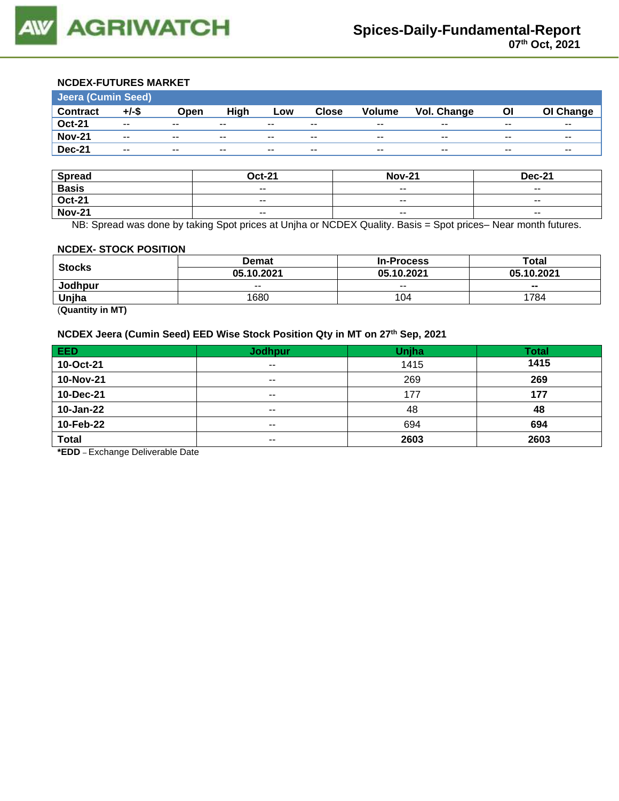

#### **NCDEX-FUTURES MARKET**

| Jeera (Cumin Seed) |                          |               |       |               |              |                          |                    |       |           |
|--------------------|--------------------------|---------------|-------|---------------|--------------|--------------------------|--------------------|-------|-----------|
| <b>Contract</b>    | $+/-$ \$                 | Open          | High  | Low           | <b>Close</b> | <b>Volume</b>            | <b>Vol. Change</b> | ΟI    | OI Change |
| <b>Oct-21</b>      | $\overline{\phantom{a}}$ | $\sim$ $\sim$ | $- -$ | $\sim$ $\sim$ | $- -$        | $\sim$ $\sim$            | $- -$              | $- -$ | $- -$     |
| <b>Nov-21</b>      | $\overline{\phantom{a}}$ | $\sim$ $\sim$ | $- -$ | $- -$         | $- -$        | $\overline{\phantom{a}}$ | $- -$              | $- -$ | $- -$     |
| <b>Dec-21</b>      | $- -$                    | $- -$         | $- -$ | $- -$         | $- -$        | $- -$                    | $\sim$             | $- -$ | $- -$     |

| <b>Spread</b> | <b>Oct-21</b> | <b>Nov-21</b> | <b>Dec-21</b> |
|---------------|---------------|---------------|---------------|
| <b>Basis</b>  | $- -$         | $- -$         | $- -$         |
| <b>Oct-21</b> | $ -$          | $\sim$ $\sim$ | $- -$         |
| <b>Nov-21</b> | $- -$         | $\sim$ $\sim$ | $\sim$ $\sim$ |

NB: Spread was done by taking Spot prices at Unjha or NCDEX Quality. Basis = Spot prices– Near month futures.

#### **NCDEX- STOCK POSITION**

|                                     | <b>Demat</b> | <b>In-Process</b> | Total      |  |
|-------------------------------------|--------------|-------------------|------------|--|
| <b>Stocks</b>                       | 05.10.2021   | 05.10.2021        | 05.10.2021 |  |
| Jodhpur                             | $- -$        | $- -$             | $- -$      |  |
| Unjha                               | 1680         | 104               | 1784       |  |
| $(0.122 \times 10^{-11} \text{ m})$ |              |                   |            |  |

(**Quantity in MT)**

## **NCDEX Jeera (Cumin Seed) EED Wise Stock Position Qty in MT on 27th Sep, 2021**

| <b>EED</b>   | <b>Jodhpur</b> | Unjha | <b>Total</b> |
|--------------|----------------|-------|--------------|
| 10-Oct-21    | $- -$          | 1415  | 1415         |
| 10-Nov-21    | $- -$          | 269   | 269          |
| 10-Dec-21    | $- -$          | 177   | 177          |
| 10-Jan-22    | $\sim$ $\sim$  | 48    | 48           |
| 10-Feb-22    | $- -$          | 694   | 694          |
| <b>Total</b> | $\sim$ $\sim$  | 2603  | 2603         |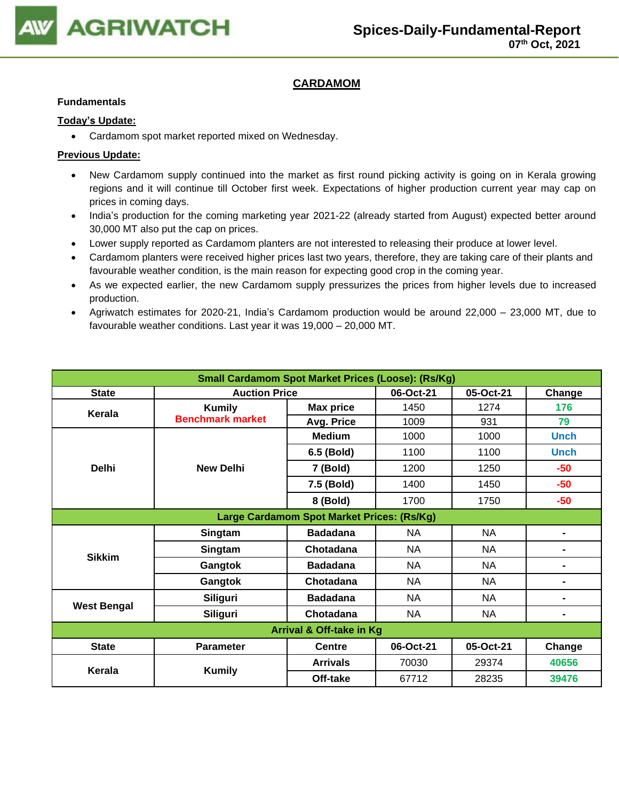

# **CARDAMOM**

### **Fundamentals**

## **Today's Update:**

• Cardamom spot market reported mixed on Wednesday.

- New Cardamom supply continued into the market as first round picking activity is going on in Kerala growing regions and it will continue till October first week. Expectations of higher production current year may cap on prices in coming days.
- India's production for the coming marketing year 2021-22 (already started from August) expected better around 30,000 MT also put the cap on prices.
- Lower supply reported as Cardamom planters are not interested to releasing their produce at lower level.
- Cardamom planters were received higher prices last two years, therefore, they are taking care of their plants and favourable weather condition, is the main reason for expecting good crop in the coming year.
- As we expected earlier, the new Cardamom supply pressurizes the prices from higher levels due to increased production.
- Agriwatch estimates for 2020-21, India's Cardamom production would be around 22,000 23,000 MT, due to favourable weather conditions. Last year it was 19,000 – 20,000 MT.

| <b>Small Cardamom Spot Market Prices (Loose): (Rs/Kg)</b> |                             |                                   |           |           |                |  |  |
|-----------------------------------------------------------|-----------------------------|-----------------------------------|-----------|-----------|----------------|--|--|
| <b>State</b>                                              |                             | <b>Auction Price</b><br>06-Oct-21 |           |           |                |  |  |
| Kerala                                                    | <b>Kumily</b>               | <b>Max price</b>                  | 1450      | 1274      | 176            |  |  |
|                                                           | <b>Benchmark market</b>     | Avg. Price                        | 1009      | 931       | 79             |  |  |
|                                                           |                             | <b>Medium</b>                     | 1000      | 1000      | <b>Unch</b>    |  |  |
|                                                           |                             | 6.5 (Bold)                        | 1100      | 1100      | <b>Unch</b>    |  |  |
| <b>Delhi</b>                                              | <b>New Delhi</b>            | 7 (Bold)                          | 1200      | 1250      | -50            |  |  |
|                                                           |                             | 7.5 (Bold)                        | 1400      | 1450      | -50            |  |  |
|                                                           |                             | 8 (Bold)                          | 1700      | 1750      | $-50$          |  |  |
| Large Cardamom Spot Market Prices: (Rs/Kg)                |                             |                                   |           |           |                |  |  |
|                                                           | Singtam                     | <b>Badadana</b>                   | <b>NA</b> | <b>NA</b> | $\blacksquare$ |  |  |
| <b>Sikkim</b>                                             | Singtam                     | Chotadana                         | NA        | <b>NA</b> | $\blacksquare$ |  |  |
|                                                           | Gangtok                     | <b>Badadana</b>                   | <b>NA</b> | <b>NA</b> | $\blacksquare$ |  |  |
|                                                           | Gangtok                     | Chotadana                         | <b>NA</b> | <b>NA</b> | $\blacksquare$ |  |  |
| <b>West Bengal</b>                                        | Siliguri<br><b>Badadana</b> |                                   | <b>NA</b> | <b>NA</b> | $\blacksquare$ |  |  |
|                                                           | Siliguri                    | Chotadana                         | NA        | <b>NA</b> | $\blacksquare$ |  |  |
| Arrival & Off-take in Kg                                  |                             |                                   |           |           |                |  |  |
| <b>State</b>                                              | <b>Parameter</b>            | <b>Centre</b>                     | 06-Oct-21 | 05-Oct-21 | Change         |  |  |
| Kerala                                                    |                             | <b>Arrivals</b>                   | 70030     | 29374     | 40656          |  |  |
|                                                           | <b>Kumily</b>               | Off-take                          | 67712     | 28235     | 39476          |  |  |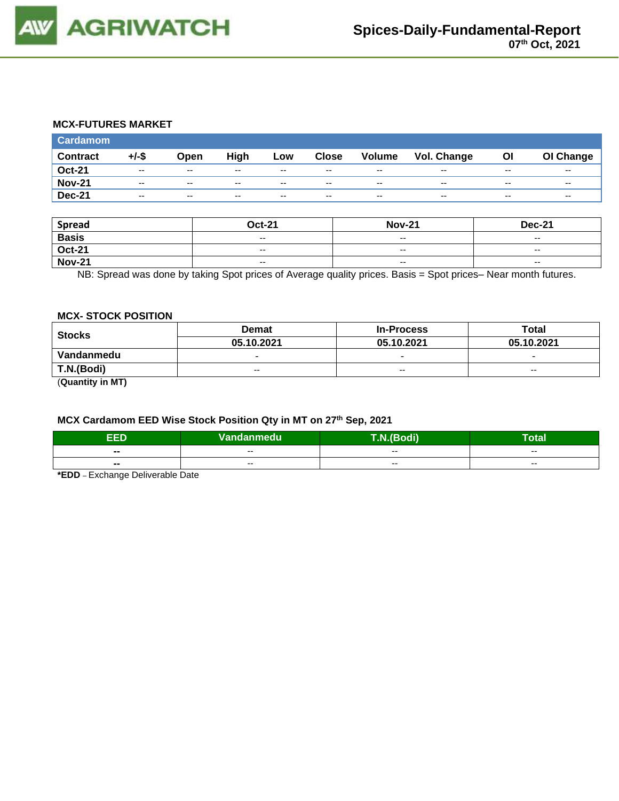

### **MCX-FUTURES MARKET**

| <b>Cardamom</b> |                          |               |       |       |              |                          |             |       |                          |
|-----------------|--------------------------|---------------|-------|-------|--------------|--------------------------|-------------|-------|--------------------------|
| <b>Contract</b> | $+/-$ \$                 | Open          | High  | Low   | <b>Close</b> | Volume                   | Vol. Change | Οl    | OI Change                |
| <b>Oct-21</b>   | $\overline{\phantom{a}}$ | $- -$         | $- -$ | $-$   | $-$          | $\overline{\phantom{a}}$ | $-$         | $- -$ | $\overline{\phantom{a}}$ |
| <b>Nov-21</b>   | $\overline{\phantom{a}}$ | $\sim$ $\sim$ | $-$   | $-$   | $-$          | $\overline{\phantom{a}}$ | $-$         | $- -$ | $\overline{\phantom{a}}$ |
| <b>Dec-21</b>   | $\sim$                   | $\sim$ $\sim$ | --    | $- -$ | $- -$        | $\overline{\phantom{a}}$ | $- -$       | $- -$ | $- -$                    |

| <b>Spread</b> | <b>Oct-21</b>            | <b>Nov-21</b>            | <b>Dec-21</b>            |
|---------------|--------------------------|--------------------------|--------------------------|
| <b>Basis</b>  | $- -$                    | $- -$                    | $- -$                    |
| <b>Oct-21</b> | $\overline{\phantom{a}}$ | $-$                      | $\overline{\phantom{a}}$ |
| <b>Nov-21</b> | $\overline{\phantom{a}}$ | $\overline{\phantom{a}}$ | $\overline{\phantom{a}}$ |

NB: Spread was done by taking Spot prices of Average quality prices. Basis = Spot prices– Near month futures.

#### **MCX- STOCK POSITION**

| <b>Stocks</b> | <b>Demat</b>             | <b>In-Process</b>        | Total                    |  |
|---------------|--------------------------|--------------------------|--------------------------|--|
|               | 05.10.2021               | 05.10.2021               | 05.10.2021               |  |
| Vandanmedu    | $\overline{\phantom{0}}$ | $\overline{\phantom{0}}$ | $\overline{\phantom{0}}$ |  |
| T.N.(Bodi)    | $- -$                    | $\sim$ $\sim$            | $\sim$ $\sim$            |  |
|               |                          |                          |                          |  |

(**Quantity in MT)**

# **MCX Cardamom EED Wise Stock Position Qty in MT on 27th Sep, 2021**

| EED                      | Vandanmedu' | T.N.(Bodi) | <b>Total</b> |  |
|--------------------------|-------------|------------|--------------|--|
| $\sim$                   | $- -$       | $- -$      | $- -$        |  |
| $\overline{\phantom{a}}$ | $- -$       | $- -$      | $- -$        |  |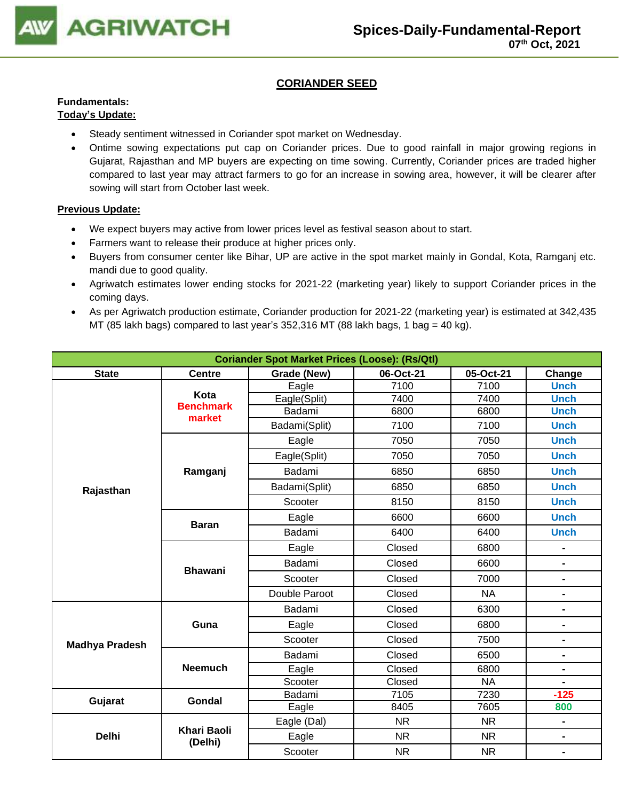

# **CORIANDER SEED**

### **Fundamentals: Today's Update:**

- Steady sentiment witnessed in Coriander spot market on Wednesday.
- Ontime sowing expectations put cap on Coriander prices. Due to good rainfall in major growing regions in Gujarat, Rajasthan and MP buyers are expecting on time sowing. Currently, Coriander prices are traded higher compared to last year may attract farmers to go for an increase in sowing area, however, it will be clearer after sowing will start from October last week.

- We expect buyers may active from lower prices level as festival season about to start.
- Farmers want to release their produce at higher prices only.
- Buyers from consumer center like Bihar, UP are active in the spot market mainly in Gondal, Kota, Ramganj etc. mandi due to good quality.
- Agriwatch estimates lower ending stocks for 2021-22 (marketing year) likely to support Coriander prices in the coming days.
- As per Agriwatch production estimate, Coriander production for 2021-22 (marketing year) is estimated at 342,435 MT (85 lakh bags) compared to last year's 352,316 MT (88 lakh bags, 1 bag = 40 kg).

| <b>Coriander Spot Market Prices (Loose): (Rs/Qtl)</b> |                                                                  |               |           |           |                              |  |  |  |  |
|-------------------------------------------------------|------------------------------------------------------------------|---------------|-----------|-----------|------------------------------|--|--|--|--|
| <b>State</b>                                          | Grade (New)<br>06-Oct-21<br>05-Oct-21<br><b>Centre</b><br>Change |               |           |           |                              |  |  |  |  |
|                                                       | Kota                                                             | Eagle         | 7100      | 7100      | <b>Unch</b>                  |  |  |  |  |
|                                                       | <b>Benchmark</b>                                                 | Eagle(Split)  | 7400      | 7400      | <b>Unch</b>                  |  |  |  |  |
|                                                       | market                                                           | Badami        | 6800      | 6800      | <b>Unch</b>                  |  |  |  |  |
|                                                       |                                                                  | Badami(Split) | 7100      | 7100      | <b>Unch</b>                  |  |  |  |  |
|                                                       |                                                                  | Eagle         | 7050      | 7050      | <b>Unch</b>                  |  |  |  |  |
|                                                       |                                                                  | Eagle(Split)  | 7050      | 7050      | <b>Unch</b>                  |  |  |  |  |
|                                                       | Ramganj                                                          | Badami        | 6850      | 6850      | <b>Unch</b>                  |  |  |  |  |
| Rajasthan                                             |                                                                  | Badami(Split) | 6850      | 6850      | <b>Unch</b>                  |  |  |  |  |
|                                                       |                                                                  | Scooter       | 8150      | 8150      | <b>Unch</b>                  |  |  |  |  |
|                                                       | <b>Baran</b>                                                     | Eagle         | 6600      | 6600      | <b>Unch</b>                  |  |  |  |  |
|                                                       |                                                                  | Badami        | 6400      | 6400      | <b>Unch</b>                  |  |  |  |  |
|                                                       |                                                                  | Eagle         | Closed    | 6800      |                              |  |  |  |  |
|                                                       | <b>Bhawani</b>                                                   | Badami        | Closed    | 6600      | $\qquad \qquad \blacksquare$ |  |  |  |  |
|                                                       |                                                                  | Scooter       | Closed    | 7000      | $\blacksquare$               |  |  |  |  |
|                                                       |                                                                  | Double Paroot | Closed    | <b>NA</b> | $\qquad \qquad \blacksquare$ |  |  |  |  |
|                                                       |                                                                  | Badami        | Closed    | 6300      | $\blacksquare$               |  |  |  |  |
|                                                       | Guna                                                             | Eagle         | Closed    | 6800      | $\blacksquare$               |  |  |  |  |
| <b>Madhya Pradesh</b>                                 |                                                                  | Scooter       | Closed    | 7500      | $\blacksquare$               |  |  |  |  |
|                                                       |                                                                  | Badami        | Closed    | 6500      | $\overline{\phantom{0}}$     |  |  |  |  |
|                                                       | <b>Neemuch</b>                                                   | Eagle         | Closed    | 6800      | $\qquad \qquad \blacksquare$ |  |  |  |  |
|                                                       |                                                                  | Scooter       | Closed    | <b>NA</b> | $\blacksquare$               |  |  |  |  |
| Gujarat                                               | <b>Gondal</b>                                                    | Badami        | 7105      | 7230      | $-125$                       |  |  |  |  |
|                                                       |                                                                  | Eagle         | 8405      | 7605      | 800                          |  |  |  |  |
|                                                       | <b>Khari Baoli</b>                                               | Eagle (Dal)   | <b>NR</b> | <b>NR</b> | $\blacksquare$               |  |  |  |  |
| <b>Delhi</b>                                          | (Delhi)                                                          | Eagle         | <b>NR</b> | <b>NR</b> | $\blacksquare$               |  |  |  |  |
|                                                       |                                                                  | Scooter       | <b>NR</b> | <b>NR</b> | $\blacksquare$               |  |  |  |  |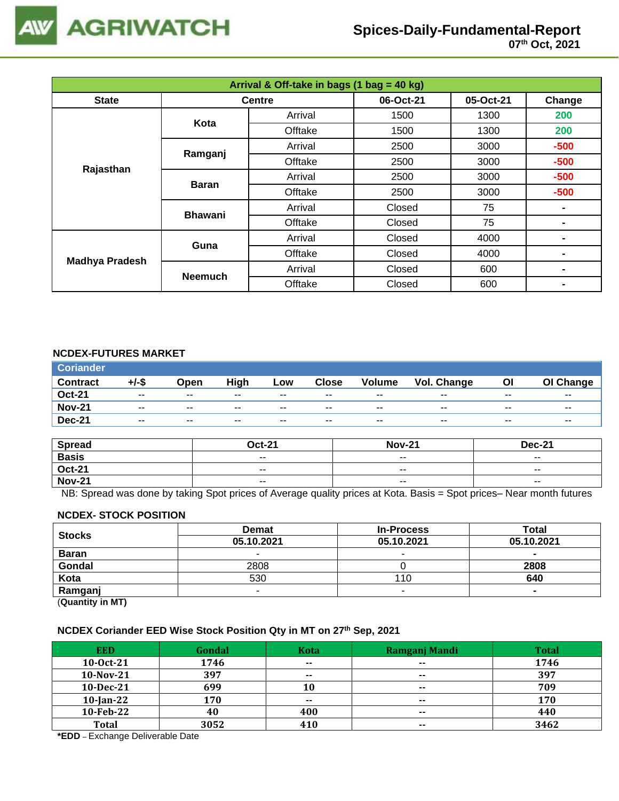

| Arrival & Off-take in bags (1 bag = 40 kg) |                |               |           |           |                |  |  |
|--------------------------------------------|----------------|---------------|-----------|-----------|----------------|--|--|
| <b>State</b>                               |                | <b>Centre</b> | 06-Oct-21 | 05-Oct-21 | Change         |  |  |
|                                            | Kota           | Arrival       | 1500      | 1300      | 200            |  |  |
|                                            |                | Offtake       | 1500      | 1300      | 200            |  |  |
|                                            |                | Arrival       | 2500      | 3000      | $-500$         |  |  |
| Rajasthan                                  | Ramganj        | Offtake       | 2500      | 3000      | $-500$         |  |  |
|                                            | <b>Baran</b>   | Arrival       | 2500      | 3000      | $-500$         |  |  |
|                                            |                | Offtake       | 2500      | 3000      | $-500$         |  |  |
|                                            | <b>Bhawani</b> | Arrival       | Closed    | 75        |                |  |  |
|                                            |                | Offtake       | Closed    | 75        |                |  |  |
| <b>Madhya Pradesh</b>                      | Guna           | Arrival       | Closed    | 4000      |                |  |  |
|                                            |                | Offtake       | Closed    | 4000      |                |  |  |
|                                            |                | Arrival       | Closed    | 600       | $\blacksquare$ |  |  |
|                                            | <b>Neemuch</b> | Offtake       | Closed    | 600       |                |  |  |

## **NCDEX-FUTURES MARKET**

| <b>Coriander</b> |       |               |       |       |       |               |             |       |           |
|------------------|-------|---------------|-------|-------|-------|---------------|-------------|-------|-----------|
| <b>Contract</b>  | +/-\$ | <b>Open</b>   | High  | Low   | Close | <b>Volume</b> | Vol. Change | ΟI    | OI Change |
| <b>Oct-21</b>    | $- -$ | $\sim$ $\sim$ | $- -$ | $- -$ | $- -$ | $- -$         | $- -$       | $- -$ | $- -$     |
| <b>Nov-21</b>    | $- -$ | $- -$         | $- -$ | $- -$ | $- -$ | $- -$         | $- -$       | $- -$ | $- -$     |
| <b>Dec-21</b>    | $- -$ | $- -$         | $- -$ | $- -$ | $- -$ | $- -$         | $- -$       | $- -$ | $- -$     |

| <b>Spread</b> | <b>Oct-21</b> | <b>Nov-21</b>            | <b>Dec-21</b>            |
|---------------|---------------|--------------------------|--------------------------|
| <b>Basis</b>  | $ -$          | $\overline{\phantom{a}}$ | $\overline{\phantom{a}}$ |
| <b>Oct-21</b> | $- -$         | $- -$                    | $- -$                    |
| <b>Nov-21</b> | $ -$          | $\sim$ $\sim$            | $\overline{\phantom{a}}$ |

NB: Spread was done by taking Spot prices of Average quality prices at Kota. Basis = Spot prices– Near month futures

#### **NCDEX- STOCK POSITION**

| <b>Stocks</b>           | <b>Demat</b> | <b>In-Process</b> | Total      |
|-------------------------|--------------|-------------------|------------|
|                         | 05.10.2021   | 05.10.2021        | 05.10.2021 |
| <b>Baran</b>            | -            |                   | $\sim$     |
| Gondal                  | 2808         |                   | 2808       |
| Kota                    | 530          | 110               | 640        |
| Ramganj                 | -            |                   |            |
| (0.1222, 0.0122, 0.000) |              |                   |            |

(**Quantity in MT)**

### **NCDEX Coriander EED Wise Stock Position Qty in MT on 27th Sep, 2021**

| <b>EED</b>   | Gondal | Kota          | Ramganj Mandi | <b>Total</b> |
|--------------|--------|---------------|---------------|--------------|
| $10-0ct-21$  | 1746   | $\sim$ $\sim$ | $- -$         | 1746         |
| 10-Nov-21    | 397    | $- -$         | $\sim$        | 397          |
| 10-Dec-21    | 699    | 10            | $- -$         | 709          |
| $10$ -Jan-22 | 170    | $- -$         | $- -$         | 170          |
| 10-Feb-22    | 40     | 400           | $\sim$        | 440          |
| <b>Total</b> | 3052   | 410           | $\sim$ $\sim$ | 3462         |